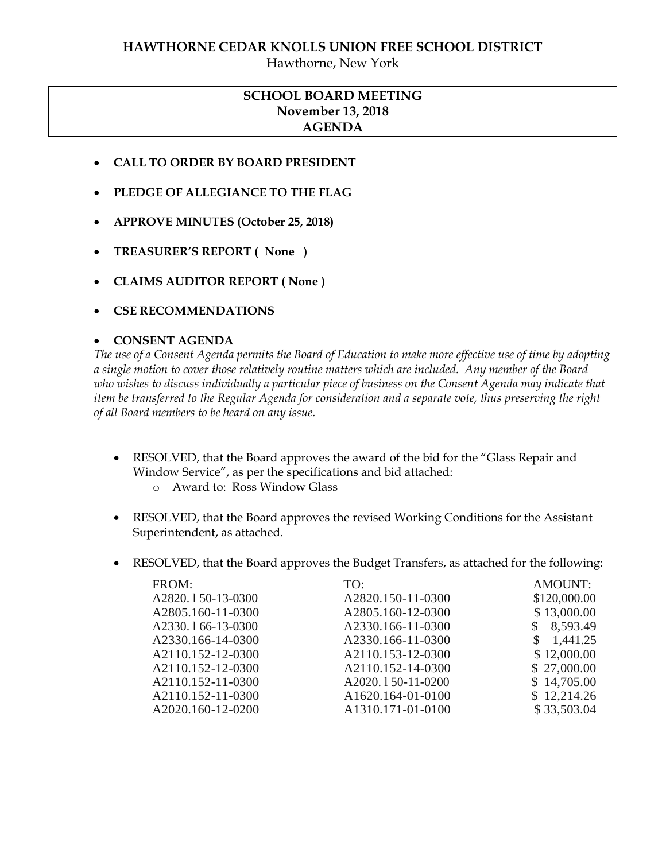### **HAWTHORNE CEDAR KNOLLS UNION FREE SCHOOL DISTRICT**

Hawthorne, New York

# **SCHOOL BOARD MEETING November 13, 2018 AGENDA**

- **CALL TO ORDER BY BOARD PRESIDENT**
- **PLEDGE OF ALLEGIANCE TO THE FLAG**
- **APPROVE MINUTES (October 25, 2018)**
- **TREASURER'S REPORT ( None )**
- **CLAIMS AUDITOR REPORT ( None )**
- **CSE RECOMMENDATIONS**

#### **CONSENT AGENDA**

*The use of a Consent Agenda permits the Board of Education to make more effective use of time by adopting a single motion to cover those relatively routine matters which are included. Any member of the Board who wishes to discuss individually a particular piece of business on the Consent Agenda may indicate that item be transferred to the Regular Agenda for consideration and a separate vote, thus preserving the right of all Board members to be heard on any issue.* 

- RESOLVED, that the Board approves the award of the bid for the "Glass Repair and Window Service", as per the specifications and bid attached:
	- o Award to: Ross Window Glass
- RESOLVED, that the Board approves the revised Working Conditions for the Assistant Superintendent, as attached.
- RESOLVED, that the Board approves the Budget Transfers, as attached for the following:

| FROM:             | TO:                            | AMOUNT:         |
|-------------------|--------------------------------|-----------------|
| A2820.150-13-0300 | A2820.150-11-0300              | \$120,000.00    |
| A2805.160-11-0300 | A2805.160-12-0300              | \$13,000.00     |
| A2330.166-13-0300 | A2330.166-11-0300              | 8,593.49        |
| A2330.166-14-0300 | A2330.166-11-0300              | 1,441.25<br>\$. |
| A2110.152-12-0300 | A2110.153-12-0300              | \$12,000.00     |
| A2110.152-12-0300 | A2110.152-14-0300              | \$27,000.00     |
| A2110.152-11-0300 | A2020.150-11-0200              | \$14,705.00     |
| A2110.152-11-0300 | A1620.164-01-0100              | \$12,214.26     |
| A2020.160-12-0200 | A <sub>1310.171</sub> -01-0100 | \$33,503.04     |